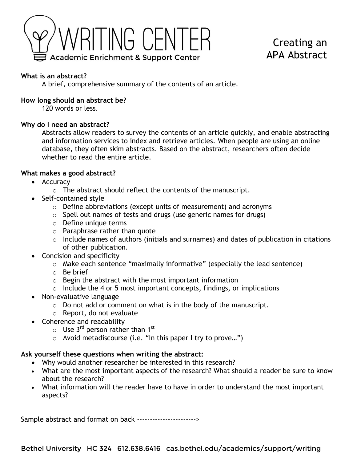

# Creating an APA Abstract

## **What is an abstract?**

A brief, comprehensive summary of the contents of an article.

## **How long should an abstract be?**

120 words or less.

## **Why do I need an abstract?**

Abstracts allow readers to survey the contents of an article quickly, and enable abstracting and information services to index and retrieve articles. When people are using an online database, they often skim abstracts. Based on the abstract, researchers often decide whether to read the entire article.

## **What makes a good abstract?**

- Accuracy
	- o The abstract should reflect the contents of the manuscript.
- Self-contained style
	- o Define abbreviations (except units of measurement) and acronyms
	- o Spell out names of tests and drugs (use generic names for drugs)
	- o Define unique terms
	- o Paraphrase rather than quote
	- o Include names of authors (initials and surnames) and dates of publication in citations of other publication.
- Concision and specificity
	- o Make each sentence "maximally informative" (especially the lead sentence)
	- o Be brief
	- $\circ$  Begin the abstract with the most important information
	- $\circ$  Include the 4 or 5 most important concepts, findings, or implications
- Non-evaluative language
	- o Do not add or comment on what is in the body of the manuscript.
	- o Report, do not evaluate
- Coherence and readability
	- $\circ$  Use 3<sup>rd</sup> person rather than 1<sup>st</sup>
	- o Avoid metadiscourse (i.e. "In this paper I try to prove…")

#### **Ask yourself these questions when writing the abstract:**

- Why would another researcher be interested in this research?
- What are the most important aspects of the research? What should a reader be sure to know about the research?
- What information will the reader have to have in order to understand the most important aspects?

Sample abstract and format on back ----------------------->